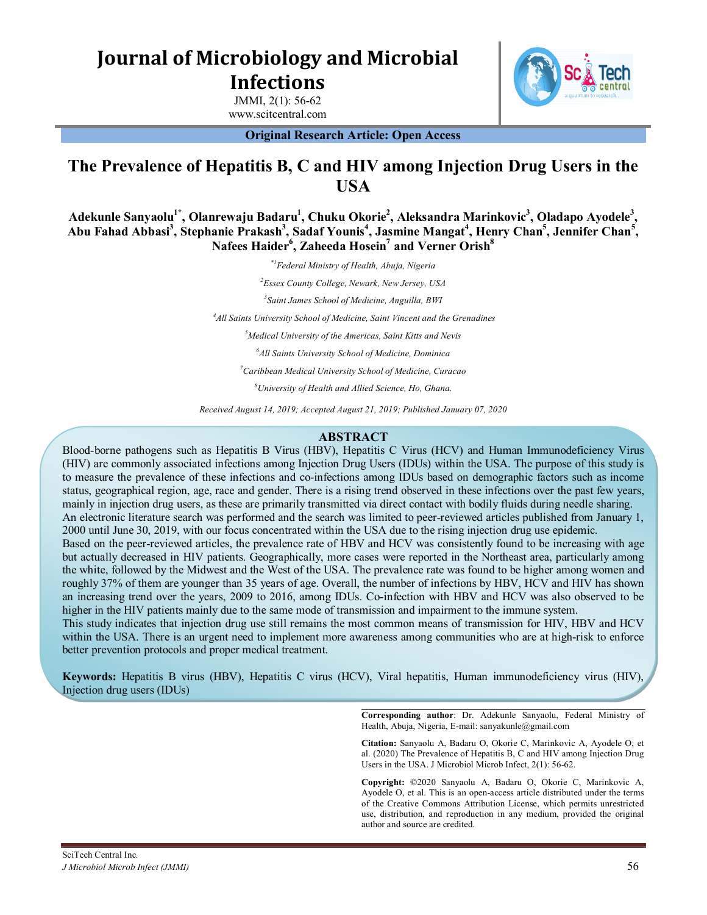**Journal of Microbiology and Microbial Infections**

> JMMI, 2(1): 56-62 www.scitcentral.com



**Original Research Article: Open Access**

# **The Prevalence of Hepatitis B, C and HIV among Injection Drug Users in the USA**

**Adekunle Sanyaolu1\* , Olanrewaju Badaru<sup>1</sup> , Chuku Okorie<sup>2</sup> , Aleksandra Marinkovic<sup>3</sup> , Oladapo Ayodele<sup>3</sup> , Abu Fahad Abbasi<sup>3</sup> , Stephanie Prakash<sup>3</sup> , Sadaf Younis<sup>4</sup> , Jasmine Mangat<sup>4</sup> , Henry Chan<sup>5</sup> , Jennifer Chan<sup>5</sup> , Nafees Haider<sup>6</sup> , Zaheeda Hosein<sup>7</sup> and Verner Orish<sup>8</sup>**

> *\*1Federal Ministry of Health, Abuja, Nigeria Essex County College, Newark, New Jersey, USA Saint James School of Medicine, Anguilla, BWI All Saints University School of Medicine, Saint Vincent and the Grenadines Medical University of the Americas, Saint Kitts and Nevis All Saints University School of Medicine, Dominica Caribbean Medical University School of Medicine, Curacao University of Health and Allied Science, Ho, Ghana. Received August 14 th , 2019; Revised August 20 th , 2019; Accepted August 21st, 2019*

# **ABSTRACT**

Blood-borne pathogens such as Hepatitis B Virus (HBV), Hepatitis C Virus (HCV) and Human Immunodeficiency Virus (HIV) are commonly associated infections among Injection Drug Users (IDUs) within the USA. The purpose of this study is to measure the prevalence of these infections and co-infections among IDUs based on demographic factors such as income status, geographical region, age, race and gender. There is a rising trend observed in these infections over the past few years, mainly in injection drug users, as these are primarily transmitted via direct contact with bodily fluids during needle sharing. An electronic literature search was performed and the search was limited to peer-reviewed articles published from January 1, 2000 until June 30, 2019, with our focus concentrated within the USA due to the rising injection drug use epidemic. Based on the peer-reviewed articles, the prevalence rate of HBV and HCV was consistently found to be increasing with age but actually decreased in HIV patients. Geographically, more cases were reported in the Northeast area, particularly among the white, followed by the Midwest and the West of the USA. The prevalence rate was found to be higher among women and roughly 37% of them are younger than 35 years of age. Overall, the number of infections by HBV, HCV and HIV has shown an increasing trend over the years, 2009 to 2016, among IDUs. Co-infection with HBV and HCV was also observed to be higher in the HIV patients mainly due to the same mode of transmission and impairment to the immune system. This study indicates that injection drug use still remains the most common means of transmission for HIV, HBV and HCV

within the USA. There is an urgent need to implement more awareness among communities who are at high-risk to enforce better prevention protocols and proper medical treatment.

**Keywords:** Hepatitis B virus (HBV), Hepatitis C virus (HCV), Viral hepatitis, Human immunodeficiency virus (HIV), Injection drug users (IDUs)

> **Corresponding author**: Dr. Adekunle Sanyaolu, Federal Ministry of Health, Abuja, Nigeria, E-mail: sanyakunle@gmail.com

> **Citation:** Sanyaolu A, Badaru O, Okorie C, Marinkovic A, Ayodele O, et al. (2020) The Prevalence of Hepatitis B, C and HIV among Injection Drug Users in the USA. J Microbiol Microb Infect, 2(1): 56-62.

> **Copyright:** ©2020 Sanyaolu A, Badaru O, Okorie C, Marinkovic A, Ayodele O, et al. This is an open-access article distributed under the terms of the Creative Commons Attribution License, which permits unrestricted use, distribution, and reproduction in any medium, provided the original author and source are credited.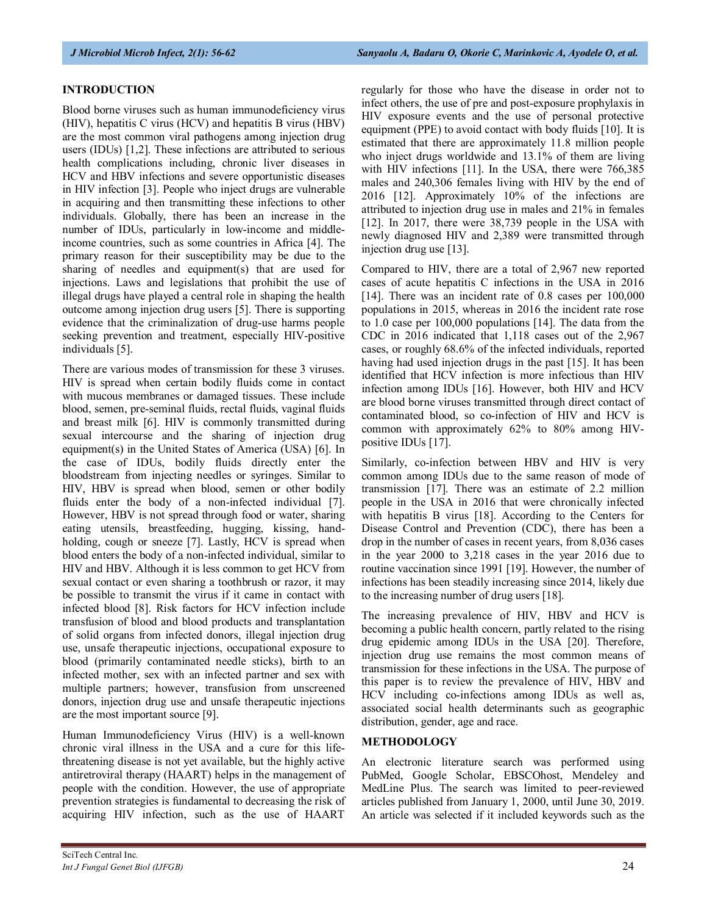# **INTRODUCTION**

Blood borne viruses such as human immunodeficiency virus (HIV), hepatitis C virus (HCV) and hepatitis B virus (HBV) are the most common viral pathogens among injection drug users (IDUs) [1,2]. These infections are attributed to serious health complications including, chronic liver diseases in HCV and HBV infections and severe opportunistic diseases in HIV infection [3]. People who inject drugs are vulnerable in acquiring and then transmitting these infections to other individuals. Globally, there has been an increase in the number of IDUs, particularly in low-income and middleincome countries, such as some countries in Africa [4]. The primary reason for their susceptibility may be due to the sharing of needles and equipment(s) that are used for injections. Laws and legislations that prohibit the use of illegal drugs have played a central role in shaping the health outcome among injection drug users [5]. There is supporting evidence that the criminalization of drug-use harms people seeking prevention and treatment, especially HIV-positive individuals [5].

There are various modes of transmission for these 3 viruses. HIV is spread when certain bodily fluids come in contact with mucous membranes or damaged tissues. These include blood, semen, pre-seminal fluids, rectal fluids, vaginal fluids and breast milk [6]. HIV is commonly transmitted during sexual intercourse and the sharing of injection drug equipment(s) in the United States of America (USA) [6]. In the case of IDUs, bodily fluids directly enter the bloodstream from injecting needles or syringes. Similar to HIV, HBV is spread when blood, semen or other bodily fluids enter the body of a non-infected individual [7]. However, HBV is not spread through food or water, sharing eating utensils, breastfeeding, hugging, kissing, handholding, cough or sneeze [7]. Lastly, HCV is spread when blood enters the body of a non-infected individual, similar to HIV and HBV. Although it is less common to get HCV from sexual contact or even sharing a toothbrush or razor, it may be possible to transmit the virus if it came in contact with infected blood [8]. Risk factors for HCV infection include transfusion of blood and blood products and transplantation of solid organs from infected donors, illegal injection drug use, unsafe therapeutic injections, occupational exposure to blood (primarily contaminated needle sticks), birth to an infected mother, sex with an infected partner and sex with multiple partners; however, transfusion from unscreened donors, injection drug use and unsafe therapeutic injections are the most important source [9].

Human Immunodeficiency Virus (HIV) is a well-known chronic viral illness in the USA and a cure for this lifethreatening disease is not yet available, but the highly active antiretroviral therapy (HAART) helps in the management of people with the condition. However, the use of appropriate prevention strategies is fundamental to decreasing the risk of acquiring HIV infection, such as the use of HAART

regularly for those who have the disease in order not to infect others, the use of pre and post-exposure prophylaxis in HIV exposure events and the use of personal protective equipment (PPE) to avoid contact with body fluids [10]. It is estimated that there are approximately 11.8 million people who inject drugs worldwide and 13.1% of them are living with HIV infections [11]. In the USA, there were 766,385 males and 240,306 females living with HIV by the end of 2016 [12]. Approximately 10% of the infections are attributed to injection drug use in males and 21% in females [12]. In 2017, there were 38,739 people in the USA with newly diagnosed HIV and 2,389 were transmitted through injection drug use [13].

Compared to HIV, there are a total of 2,967 new reported cases of acute hepatitis C infections in the USA in 2016 [14]. There was an incident rate of 0.8 cases per 100,000 populations in 2015, whereas in 2016 the incident rate rose to 1.0 case per 100,000 populations [14]. The data from the CDC in 2016 indicated that 1,118 cases out of the 2,967 cases, or roughly 68.6% of the infected individuals, reported having had used injection drugs in the past [15]. It has been identified that HCV infection is more infectious than HIV infection among IDUs [16]. However, both HIV and HCV are blood borne viruses transmitted through direct contact of contaminated blood, so co-infection of HIV and HCV is common with approximately 62% to 80% among HIVpositive IDUs [17].

Similarly, co-infection between HBV and HIV is very common among IDUs due to the same reason of mode of transmission [17]. There was an estimate of 2.2 million people in the USA in 2016 that were chronically infected with hepatitis B virus [18]. According to the Centers for Disease Control and Prevention (CDC), there has been a drop in the number of cases in recent years, from 8,036 cases in the year 2000 to 3,218 cases in the year 2016 due to routine vaccination since 1991 [19]. However, the number of infections has been steadily increasing since 2014, likely due to the increasing number of drug users [18].

The increasing prevalence of HIV, HBV and HCV is becoming a public health concern, partly related to the rising drug epidemic among IDUs in the USA [20]. Therefore, injection drug use remains the most common means of transmission for these infections in the USA. The purpose of this paper is to review the prevalence of HIV, HBV and HCV including co-infections among IDUs as well as, associated social health determinants such as geographic distribution, gender, age and race.

## **METHODOLOGY**

An electronic literature search was performed using PubMed, Google Scholar, EBSCOhost, Mendeley and MedLine Plus. The search was limited to peer-reviewed articles published from January 1, 2000, until June 30, 2019. An article was selected if it included keywords such as the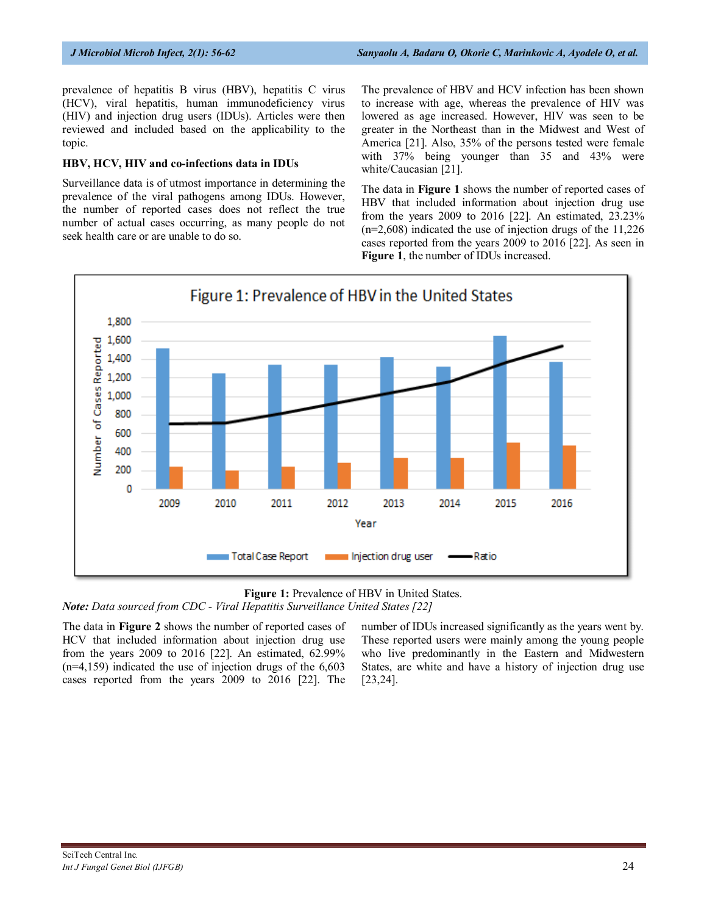prevalence of hepatitis B virus (HBV), hepatitis C virus (HCV), viral hepatitis, human immunodeficiency virus (HIV) and injection drug users (IDUs). Articles were then reviewed and included based on the applicability to the topic.

#### **HBV, HCV, HIV and co-infections data in IDUs**

Surveillance data is of utmost importance in determining the prevalence of the viral pathogens among IDUs. However, the number of reported cases does not reflect the true number of actual cases occurring, as many people do not seek health care or are unable to do so.

The prevalence of HBV and HCV infection has been shown to increase with age, whereas the prevalence of HIV was lowered as age increased. However, HIV was seen to be greater in the Northeast than in the Midwest and West of America [21]. Also, 35% of the persons tested were female with 37% being younger than 35 and 43% were white/Caucasian [21].

The data in **Figure 1** shows the number of reported cases of HBV that included information about injection drug use from the years 2009 to 2016 [22]. An estimated, 23.23% (n=2,608) indicated the use of injection drugs of the 11,226 cases reported from the years 2009 to 2016 [22]. As seen in **Figure 1**, the number of IDUs increased.





*Note: Data sourced from CDC - Viral Hepatitis Surveillance United States [22]* 

The data in **Figure 2** shows the number of reported cases of HCV that included information about injection drug use from the years 2009 to 2016 [22]. An estimated, 62.99%  $(n=4,159)$  indicated the use of injection drugs of the  $6,603$ cases reported from the years 2009 to 2016 [22]. The number of IDUs increased significantly as the years went by. These reported users were mainly among the young people who live predominantly in the Eastern and Midwestern States, are white and have a history of injection drug use [23,24].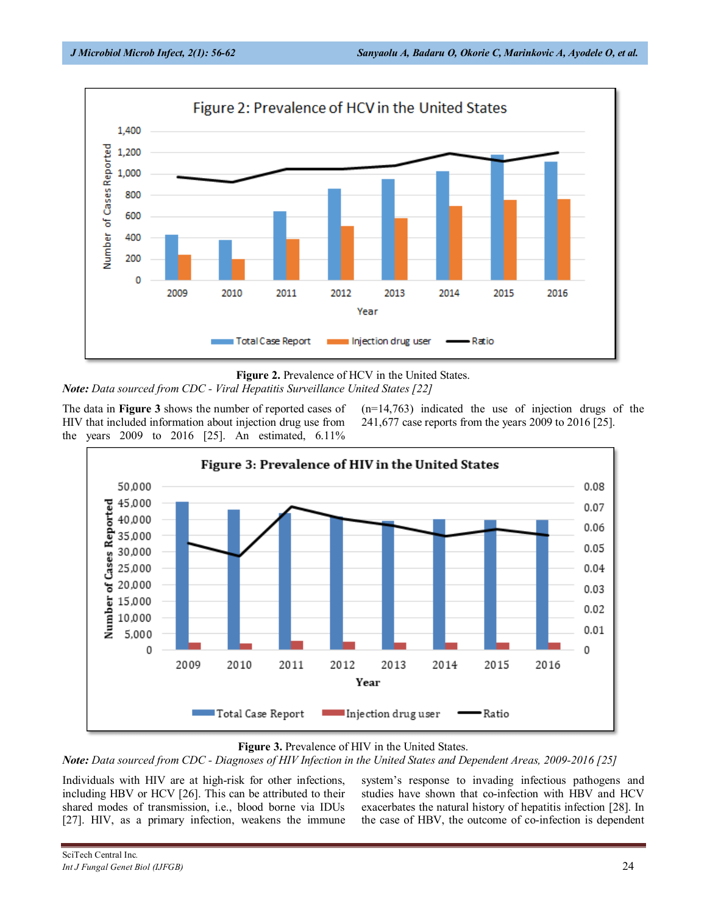

**Figure 2.** Prevalence of HCV in the United States.

*Note: Data sourced from CDC - Viral Hepatitis Surveillance United States [22]*

The data in **Figure 3** shows the number of reported cases of HIV that included information about injection drug use from the years 2009 to 2016 [25]. An estimated, 6.11%  $(n=14,763)$  indicated the use of injection drugs of the 241,677 case reports from the years 2009 to 2016 [25].



## **Figure 3.** Prevalence of HIV in the United States.

*Note: Data sourced from CDC - Diagnoses of HIV infection in the United States and dependent areas, 2009-2016 [25]* 

Individuals with HIV are at high-risk for other infections, including HBV or HCV [26]. This can be attributed to their shared modes of transmission, i.e., blood borne via IDUs [27]. HIV, as a primary infection, weakens the immune system's response to invading infectious pathogens and studies have shown that co-infection with HBV and HCV exacerbates the natural history of hepatitis infection [28]. In the case of HBV, the outcome of co-infection is dependent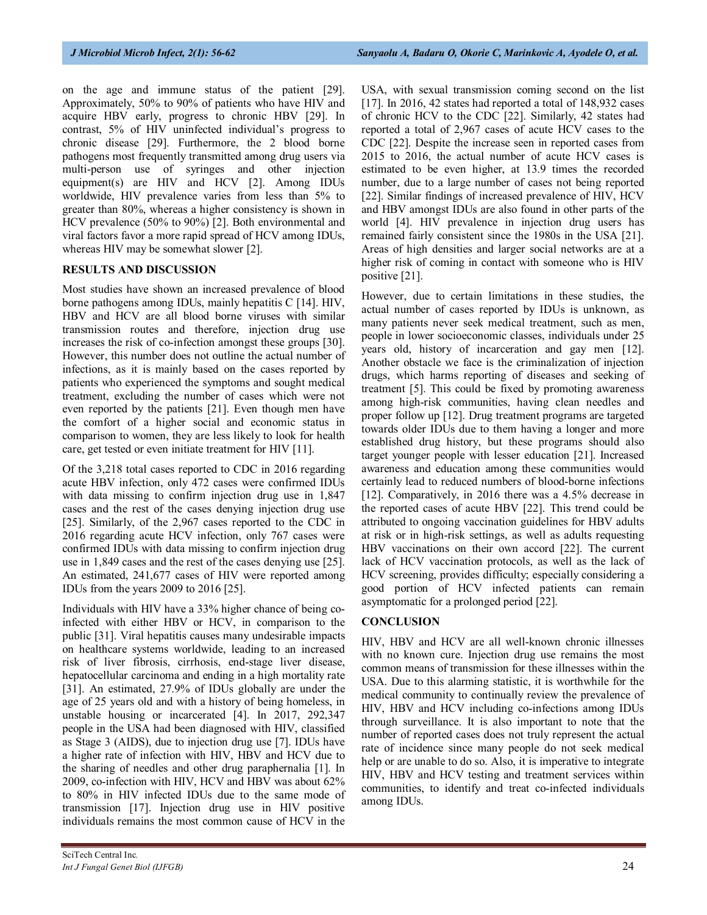on the age and immune status of the patient [29]. Approximately, 50% to 90% of patients who have HIV and acquire HBV early, progress to chronic HBV [29]. In contrast, 5% of HIV uninfected individual's progress to chronic disease [29]. Furthermore, the 2 blood borne pathogens most frequently transmitted among drug users via multi-person use of syringes and other injection equipment(s) are HIV and HCV [2]. Among IDUs worldwide, HIV prevalence varies from less than 5% to greater than 80%, whereas a higher consistency is shown in HCV prevalence (50% to 90%) [2]. Both environmental and viral factors favor a more rapid spread of HCV among IDUs, whereas HIV may be somewhat slower [2].

#### **RESULTS AND DISCUSSION**

Most studies have shown an increased prevalence of blood borne pathogens among IDUs, mainly hepatitis C [14]. HIV, HBV and HCV are all blood borne viruses with similar transmission routes and therefore, injection drug use increases the risk of co-infection amongst these groups [30]. However, this number does not outline the actual number of infections, as it is mainly based on the cases reported by patients who experienced the symptoms and sought medical treatment, excluding the number of cases which were not even reported by the patients [21]. Even though men have the comfort of a higher social and economic status in comparison to women, they are less likely to look for health care, get tested or even initiate treatment for HIV [11].

Of the 3,218 total cases reported to CDC in 2016 regarding acute HBV infection, only 472 cases were confirmed IDUs with data missing to confirm injection drug use in 1,847 cases and the rest of the cases denying injection drug use [25]. Similarly, of the 2,967 cases reported to the CDC in 2016 regarding acute HCV infection, only 767 cases were confirmed IDUs with data missing to confirm injection drug use in 1,849 cases and the rest of the cases denying use [25]. An estimated, 241,677 cases of HIV were reported among IDUs from the years 2009 to 2016 [25].

Individuals with HIV have a 33% higher chance of being coinfected with either HBV or HCV, in comparison to the public [31]. Viral hepatitis causes many undesirable impacts on healthcare systems worldwide, leading to an increased risk of liver fibrosis, cirrhosis, end-stage liver disease, hepatocellular carcinoma and ending in a high mortality rate [31]. An estimated, 27.9% of IDUs globally are under the age of 25 years old and with a history of being homeless, in unstable housing or incarcerated [4]. In 2017, 292,347 people in the USA had been diagnosed with HIV, classified as Stage 3 (AIDS), due to injection drug use [7]. IDUs have a higher rate of infection with HIV, HBV and HCV due to the sharing of needles and other drug paraphernalia [1]. In 2009, co-infection with HIV, HCV and HBV was about 62% to 80% in HIV infected IDUs due to the same mode of transmission [17]. Injection drug use in HIV positive individuals remains the most common cause of HCV in the

USA, with sexual transmission coming second on the list [17]. In 2016, 42 states had reported a total of 148,932 cases of chronic HCV to the CDC [22]. Similarly, 42 states had reported a total of 2,967 cases of acute HCV cases to the CDC [22]. Despite the increase seen in reported cases from 2015 to 2016, the actual number of acute HCV cases is estimated to be even higher, at 13.9 times the recorded number, due to a large number of cases not being reported [22]. Similar findings of increased prevalence of HIV, HCV and HBV amongst IDUs are also found in other parts of the world [4]. HIV prevalence in injection drug users has remained fairly consistent since the 1980s in the USA [21]. Areas of high densities and larger social networks are at a higher risk of coming in contact with someone who is HIV positive [21].

However, due to certain limitations in these studies, the actual number of cases reported by IDUs is unknown, as many patients never seek medical treatment, such as men, people in lower socioeconomic classes, individuals under 25 years old, history of incarceration and gay men [12]. Another obstacle we face is the criminalization of injection drugs, which harms reporting of diseases and seeking of treatment [5]. This could be fixed by promoting awareness among high-risk communities, having clean needles and proper follow up [12]. Drug treatment programs are targeted towards older IDUs due to them having a longer and more established drug history, but these programs should also target younger people with lesser education [21]. Increased awareness and education among these communities would certainly lead to reduced numbers of blood-borne infections [12]. Comparatively, in 2016 there was a 4.5% decrease in the reported cases of acute HBV [22]. This trend could be attributed to ongoing vaccination guidelines for HBV adults at risk or in high-risk settings, as well as adults requesting HBV vaccinations on their own accord [22]. The current lack of HCV vaccination protocols, as well as the lack of HCV screening, provides difficulty; especially considering a good portion of HCV infected patients can remain asymptomatic for a prolonged period [22].

#### **CONCLUSION**

HIV, HBV and HCV are all well-known chronic illnesses with no known cure. Injection drug use remains the most common means of transmission for these illnesses within the USA. Due to this alarming statistic, it is worthwhile for the medical community to continually review the prevalence of HIV, HBV and HCV including co-infections among IDUs through surveillance. It is also important to note that the number of reported cases does not truly represent the actual rate of incidence since many people do not seek medical help or are unable to do so. Also, it is imperative to integrate HIV, HBV and HCV testing and treatment services within communities, to identify and treat co-infected individuals among IDUs.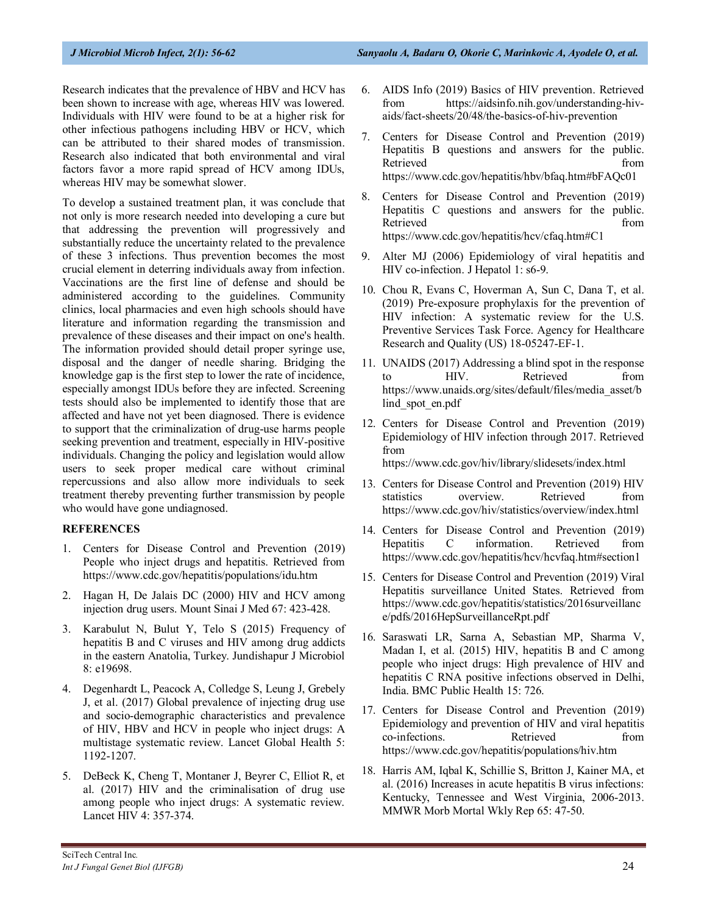Research indicates that the prevalence of HBV and HCV has been shown to increase with age, whereas HIV was lowered. Individuals with HIV were found to be at a higher risk for other infectious pathogens including HBV or HCV, which can be attributed to their shared modes of transmission. Research also indicated that both environmental and viral factors favor a more rapid spread of HCV among IDUs, whereas HIV may be somewhat slower.

To develop a sustained treatment plan, it was conclude that not only is more research needed into developing a cure but that addressing the prevention will progressively and substantially reduce the uncertainty related to the prevalence of these 3 infections. Thus prevention becomes the most crucial element in deterring individuals away from infection. Vaccinations are the first line of defense and should be administered according to the guidelines. Community clinics, local pharmacies and even high schools should have literature and information regarding the transmission and prevalence of these diseases and their impact on one's health. The information provided should detail proper syringe use, disposal and the danger of needle sharing. Bridging the knowledge gap is the first step to lower the rate of incidence, especially amongst IDUs before they are infected. Screening tests should also be implemented to identify those that are affected and have not yet been diagnosed. There is evidence to support that the criminalization of drug-use harms people seeking prevention and treatment, especially in HIV-positive individuals. Changing the policy and legislation would allow users to seek proper medical care without criminal repercussions and also allow more individuals to seek treatment thereby preventing further transmission by people who would have gone undiagnosed.

#### **REFERENCES**

- 1. Centers for Disease Control and Prevention (2019) People who inject drugs and hepatitis. Retrieved from <https://www.cdc.gov/hepatitis/populations/idu.htm>
- 2. Hagan H, De Jalais DC (2000) HIV and HCV among injection drug users. Mount Sinai J Med 67: 423-428.
- 3. Karabulut N, Bulut Y, Telo S (2015) Frequency of hepatitis B and C viruses and HIV among drug addicts in the eastern Anatolia, Turkey. Jundishapur J Microbiol 8: e19698.
- 4. Degenhardt L, Peacock A, Colledge S, Leung J, Grebely J, et al. (2017) Global prevalence of injecting drug use and socio-demographic characteristics and prevalence of HIV, HBV and HCV in people who inject drugs: A multistage systematic review. Lancet Global Health 5: 1192-1207.
- 5. DeBeck K, Cheng T, Montaner J, Beyrer C, Elliot R, et al. (2017) HIV and the criminalisation of drug use among people who inject drugs: A systematic review. Lancet HIV 4: 357-374.
- 6. AIDS Info (2019) Basics of HIV prevention. Retrieved from [https://aidsinfo.nih.gov/understanding-hiv](https://aidsinfo.nih.gov/understanding-hiv-aids/fact-sheets/20/48/the-basics-of-hiv-prevention)[aids/fact-sheets/20/48/the-basics-of-hiv-prevention](https://aidsinfo.nih.gov/understanding-hiv-aids/fact-sheets/20/48/the-basics-of-hiv-prevention)
- 7. Centers for Disease Control and Prevention (2019) Hepatitis B questions and answers for the public. Retrieved from the state of the state of the state of the state of the state of the state of the state of the state of the state of the state of the state of the state of the state of the state of the state of the state of <https://www.cdc.gov/hepatitis/hbv/bfaq.htm#bFAQc01>
- 8. Centers for Disease Control and Prevention (2019) Hepatitis C questions and answers for the public. Retrieved from the state of the state of the state of the state of the state of the state of the state of the state of the state of the state of the state of the state of the state of the state of the state of the state of <https://www.cdc.gov/hepatitis/hcv/cfaq.htm#C1>
- 9. Alter MJ (2006) Epidemiology of viral hepatitis and HIV co-infection. J Hepatol 1: s6-9.
- 10. Chou R, Evans C, Hoverman A, Sun C, Dana T, et al. (2019) Pre-exposure prophylaxis for the prevention of HIV infection: A systematic review for the U.S. Preventive Services Task Force. Agency for Healthcare Research and Quality (US) 18-05247-EF-1.
- 11. UNAIDS (2017) Addressing a blind spot in the response to HIV. Retrieved from [https://www.unaids.org/sites/default/files/media\\_asset/b](https://www.unaids.org/sites/default/files/media_asset/blind_spot_en.pdf) lind spot en.pdf
- 12. Centers for Disease Control and Prevention (2019) Epidemiology of HIV infection through 2017. Retrieved from

<https://www.cdc.gov/hiv/library/slidesets/index.html>

- 13. Centers for Disease Control and Prevention (2019) HIV statistics overview. Retrieved from <https://www.cdc.gov/hiv/statistics/overview/index.html>
- 14. Centers for Disease Control and Prevention (2019) Hepatitis C information. Retrieved from <https://www.cdc.gov/hepatitis/hcv/hcvfaq.htm#section1>
- 15. Centers for Disease Control and Prevention (2019) Viral Hepatitis surveillance United States. Retrieved from [https://www.cdc.gov/hepatitis/statistics/2016surveillanc](https://www.cdc.gov/hepatitis/statistics/2016surveillance/pdfs/2016HepSurveillanceRpt.pdf) [e/pdfs/2016HepSurveillanceRpt.pdf](https://www.cdc.gov/hepatitis/statistics/2016surveillance/pdfs/2016HepSurveillanceRpt.pdf)
- 16. Saraswati LR, Sarna A, Sebastian MP, Sharma V, Madan I, et al. (2015) HIV, hepatitis B and C among people who inject drugs: High prevalence of HIV and hepatitis C RNA positive infections observed in Delhi, India. BMC Public Health 15: 726.
- 17. Centers for Disease Control and Prevention (2019) Epidemiology and prevention of HIV and viral hepatitis co-infections. Retrieved from <https://www.cdc.gov/hepatitis/populations/hiv.htm>
- 18. Harris AM, Iqbal K, Schillie S, Britton J, Kainer MA, et al. (2016) Increases in acute hepatitis B virus infections: Kentucky, Tennessee and West Virginia, 2006-2013. MMWR Morb Mortal Wkly Rep 65: 47-50.